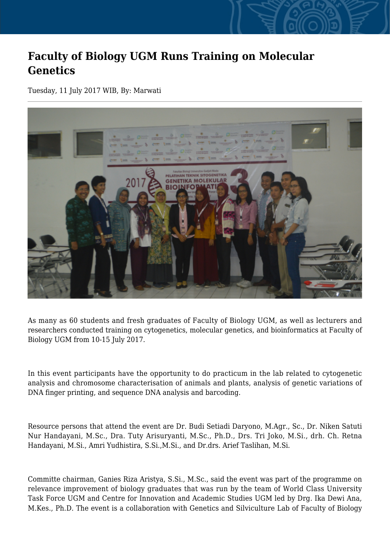## **Faculty of Biology UGM Runs Training on Molecular Genetics**

Tuesday, 11 July 2017 WIB, By: Marwati



As many as 60 students and fresh graduates of Faculty of Biology UGM, as well as lecturers and researchers conducted training on cytogenetics, molecular genetics, and bioinformatics at Faculty of Biology UGM from 10-15 July 2017.

In this event participants have the opportunity to do practicum in the lab related to cytogenetic analysis and chromosome characterisation of animals and plants, analysis of genetic variations of DNA finger printing, and sequence DNA analysis and barcoding.

Resource persons that attend the event are Dr. Budi Setiadi Daryono, M.Agr., Sc., Dr. Niken Satuti Nur Handayani, M.Sc., Dra. Tuty Arisuryanti, M.Sc., Ph.D., Drs. Tri Joko, M.Si., drh. Ch. Retna Handayani, M.Si., Amri Yudhistira, S.Si.,M.Si., and Dr.drs. Arief Taslihan, M.Si.

Committe chairman, Ganies Riza Aristya, S.Si., M.Sc., said the event was part of the programme on relevance improvement of biology graduates that was run by the team of World Class University Task Force UGM and Centre for Innovation and Academic Studies UGM led by Drg. Ika Dewi Ana, M.Kes., Ph.D. The event is a collaboration with Genetics and Silviculture Lab of Faculty of Biology